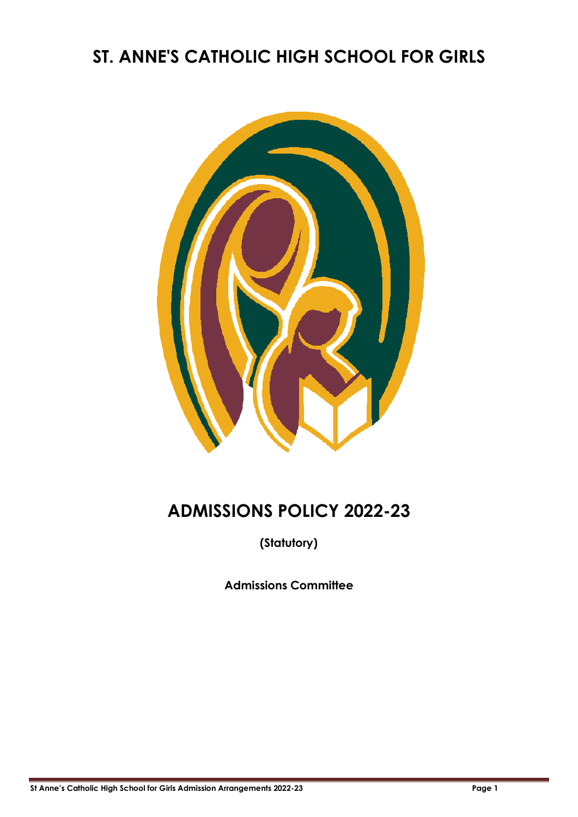# **ST. ANNE'S CATHOLIC HIGH SCHOOL FOR GIRLS**



# **ADMISSIONS POLICY 2022-23**

**(Statutory)**

**Admissions Committee**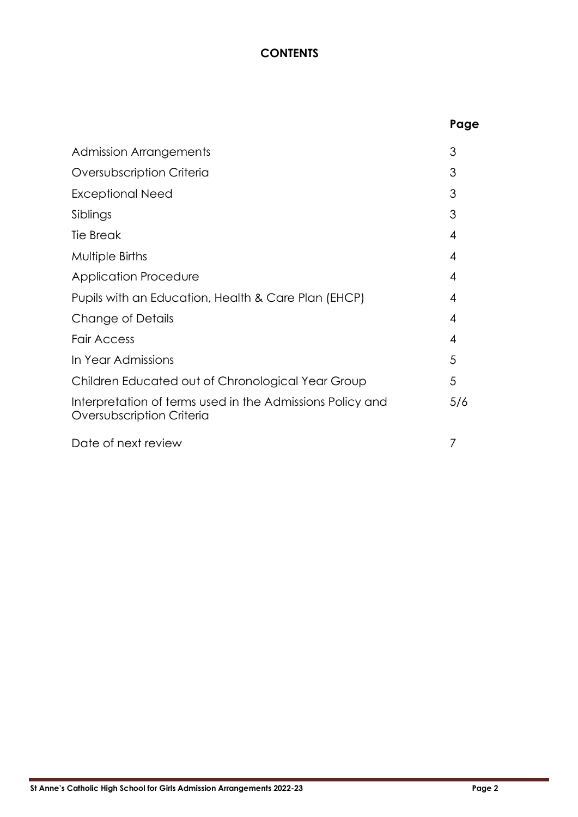### **CONTENTS**

|                                                                                        | Page |
|----------------------------------------------------------------------------------------|------|
| <b>Admission Arrangements</b>                                                          | 3    |
| Oversubscription Criteria                                                              | 3    |
| Exceptional Need                                                                       | 3    |
| Siblings                                                                               | 3    |
| <b>Tie Break</b>                                                                       | 4    |
| Multiple Births                                                                        | 4    |
| <b>Application Procedure</b>                                                           | 4    |
| Pupils with an Education, Health & Care Plan (EHCP)                                    | 4    |
| Change of Details                                                                      | 4    |
| <b>Fair Access</b>                                                                     | 4    |
| In Year Admissions                                                                     | 5    |
| Children Educated out of Chronological Year Group                                      | 5    |
| Interpretation of terms used in the Admissions Policy and<br>Oversubscription Criteria | 5/6  |
| Date of next review                                                                    | 7    |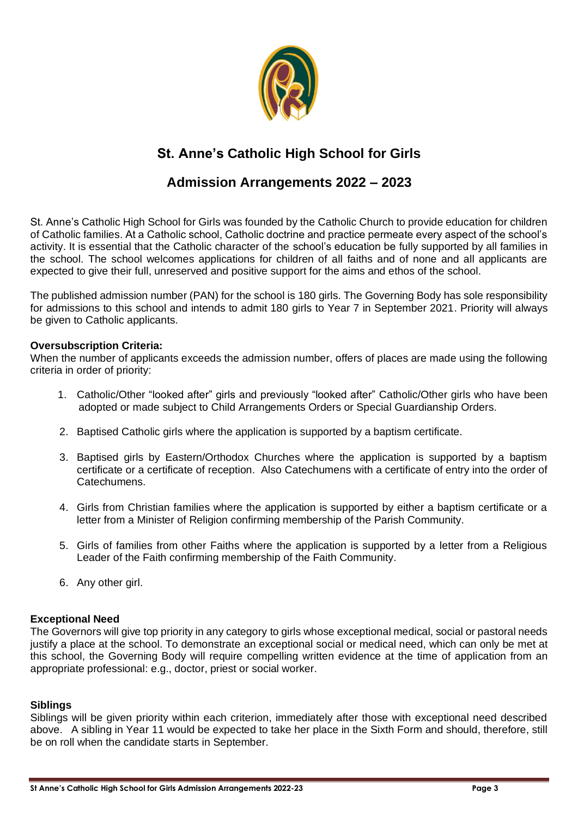

## **St. Anne's Catholic High School for Girls**

### **Admission Arrangements 2022 – 2023**

St. Anne's Catholic High School for Girls was founded by the Catholic Church to provide education for children of Catholic families. At a Catholic school, Catholic doctrine and practice permeate every aspect of the school's activity. It is essential that the Catholic character of the school's education be fully supported by all families in the school. The school welcomes applications for children of all faiths and of none and all applicants are expected to give their full, unreserved and positive support for the aims and ethos of the school.

The published admission number (PAN) for the school is 180 girls. The Governing Body has sole responsibility for admissions to this school and intends to admit 180 girls to Year 7 in September 2021. Priority will always be given to Catholic applicants.

#### **Oversubscription Criteria:**

When the number of applicants exceeds the admission number, offers of places are made using the following criteria in order of priority:

- 1. Catholic/Other "looked after" girls and previously "looked after" Catholic/Other girls who have been adopted or made subject to Child Arrangements Orders or Special Guardianship Orders.
- 2. Baptised Catholic girls where the application is supported by a baptism certificate.
- 3. Baptised girls by Eastern/Orthodox Churches where the application is supported by a baptism certificate or a certificate of reception. Also Catechumens with a certificate of entry into the order of Catechumens.
- 4. Girls from Christian families where the application is supported by either a baptism certificate or a letter from a Minister of Religion confirming membership of the Parish Community.
- 5. Girls of families from other Faiths where the application is supported by a letter from a Religious Leader of the Faith confirming membership of the Faith Community.
- 6. Any other girl.

#### **Exceptional Need**

The Governors will give top priority in any category to girls whose exceptional medical, social or pastoral needs justify a place at the school. To demonstrate an exceptional social or medical need, which can only be met at this school, the Governing Body will require compelling written evidence at the time of application from an appropriate professional: e.g., doctor, priest or social worker.

#### **Siblings**

Siblings will be given priority within each criterion, immediately after those with exceptional need described above. A sibling in Year 11 would be expected to take her place in the Sixth Form and should, therefore, still be on roll when the candidate starts in September.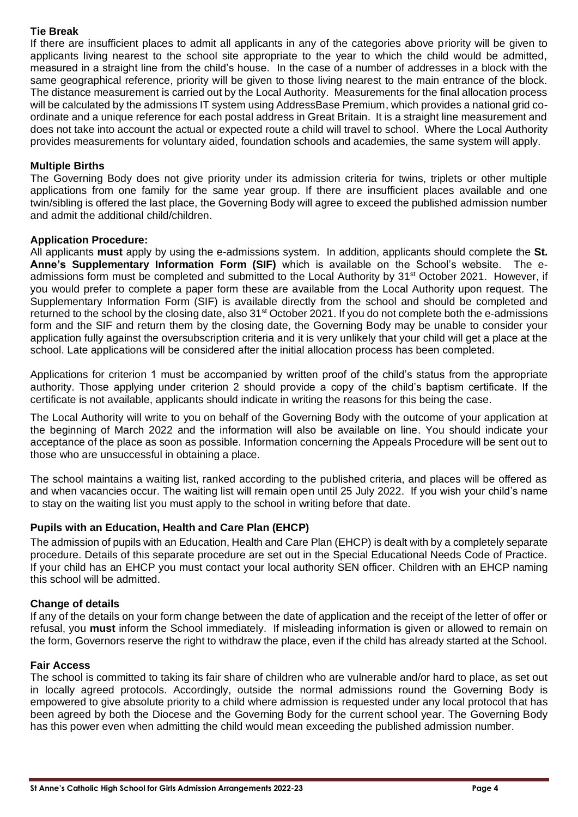#### **Tie Break**

If there are insufficient places to admit all applicants in any of the categories above priority will be given to applicants living nearest to the school site appropriate to the year to which the child would be admitted, measured in a straight line from the child's house. In the case of a number of addresses in a block with the same geographical reference, priority will be given to those living nearest to the main entrance of the block. The distance measurement is carried out by the Local Authority. Measurements for the final allocation process will be calculated by the admissions IT system using AddressBase Premium, which provides a national grid coordinate and a unique reference for each postal address in Great Britain. It is a straight line measurement and does not take into account the actual or expected route a child will travel to school. Where the Local Authority provides measurements for voluntary aided, foundation schools and academies, the same system will apply.

#### **Multiple Births**

The Governing Body does not give priority under its admission criteria for twins, triplets or other multiple applications from one family for the same year group. If there are insufficient places available and one twin/sibling is offered the last place, the Governing Body will agree to exceed the published admission number and admit the additional child/children.

#### **Application Procedure:**

All applicants **must** apply by using the e-admissions system. In addition, applicants should complete the **St. Anne's Supplementary Information Form (SIF)** which is available on the School's website. The eadmissions form must be completed and submitted to the Local Authority by 31<sup>st</sup> October 2021. However, if you would prefer to complete a paper form these are available from the Local Authority upon request. The Supplementary Information Form (SIF) is available directly from the school and should be completed and returned to the school by the closing date, also 31<sup>st</sup> October 2021. If you do not complete both the e-admissions form and the SIF and return them by the closing date, the Governing Body may be unable to consider your application fully against the oversubscription criteria and it is very unlikely that your child will get a place at the school. Late applications will be considered after the initial allocation process has been completed.

Applications for criterion 1 must be accompanied by written proof of the child's status from the appropriate authority. Those applying under criterion 2 should provide a copy of the child's baptism certificate. If the certificate is not available, applicants should indicate in writing the reasons for this being the case.

The Local Authority will write to you on behalf of the Governing Body with the outcome of your application at the beginning of March 2022 and the information will also be available on line. You should indicate your acceptance of the place as soon as possible. Information concerning the Appeals Procedure will be sent out to those who are unsuccessful in obtaining a place.

The school maintains a waiting list, ranked according to the published criteria, and places will be offered as and when vacancies occur. The waiting list will remain open until 25 July 2022. If you wish your child's name to stay on the waiting list you must apply to the school in writing before that date.

#### **Pupils with an Education, Health and Care Plan (EHCP)**

The admission of pupils with an Education, Health and Care Plan (EHCP) is dealt with by a completely separate procedure. Details of this separate procedure are set out in the Special Educational Needs Code of Practice. If your child has an EHCP you must contact your local authority SEN officer. Children with an EHCP naming this school will be admitted.

#### **Change of details**

If any of the details on your form change between the date of application and the receipt of the letter of offer or refusal, you **must** inform the School immediately. If misleading information is given or allowed to remain on the form, Governors reserve the right to withdraw the place, even if the child has already started at the School.

#### **Fair Access**

The school is committed to taking its fair share of children who are vulnerable and/or hard to place, as set out in locally agreed protocols. Accordingly, outside the normal admissions round the Governing Body is empowered to give absolute priority to a child where admission is requested under any local protocol that has been agreed by both the Diocese and the Governing Body for the current school year. The Governing Body has this power even when admitting the child would mean exceeding the published admission number.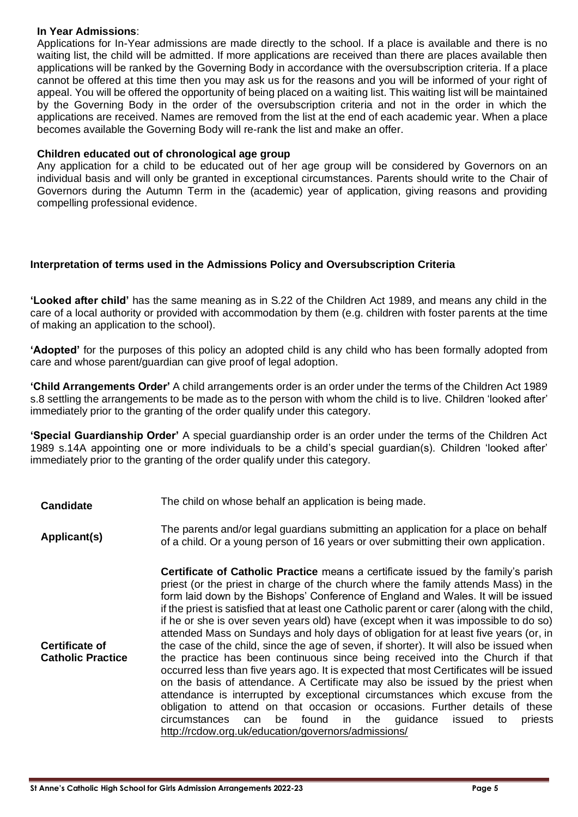#### **In Year Admissions**:

Applications for In-Year admissions are made directly to the school. If a place is available and there is no waiting list, the child will be admitted. If more applications are received than there are places available then applications will be ranked by the Governing Body in accordance with the oversubscription criteria. If a place cannot be offered at this time then you may ask us for the reasons and you will be informed of your right of appeal. You will be offered the opportunity of being placed on a waiting list. This waiting list will be maintained by the Governing Body in the order of the oversubscription criteria and not in the order in which the applications are received. Names are removed from the list at the end of each academic year. When a place becomes available the Governing Body will re-rank the list and make an offer.

#### **Children educated out of chronological age group**

Any application for a child to be educated out of her age group will be considered by Governors on an individual basis and will only be granted in exceptional circumstances. Parents should write to the Chair of Governors during the Autumn Term in the (academic) year of application, giving reasons and providing compelling professional evidence.

#### **Interpretation of terms used in the Admissions Policy and Oversubscription Criteria**

**'Looked after child'** has the same meaning as in S.22 of the Children Act 1989, and means any child in the care of a local authority or provided with accommodation by them (e.g. children with foster parents at the time of making an application to the school).

**'Adopted'** for the purposes of this policy an adopted child is any child who has been formally adopted from care and whose parent/guardian can give proof of legal adoption.

**'Child Arrangements Order'** A child arrangements order is an order under the terms of the Children Act 1989 s.8 settling the arrangements to be made as to the person with whom the child is to live. Children 'looked after' immediately prior to the granting of the order qualify under this category.

**'Special Guardianship Order'** A special guardianship order is an order under the terms of the Children Act 1989 s.14A appointing one or more individuals to be a child's special guardian(s). Children 'looked after' immediately prior to the granting of the order qualify under this category.

**Candidate** The child on whose behalf an application is being made.

**Applicant(s)** The parents and/or legal guardians submitting an application for a place on behalf<br> **Applicant(s)** of a phild Or a vauna parson of 16 years at aver a physitting their aum application of a child. Or a young person of 16 years or over submitting their own application.

**Certificate of Catholic Practice Certificate of Catholic Practice** means a certificate issued by the family's parish priest (or the priest in charge of the church where the family attends Mass) in the form laid down by the Bishops' Conference of England and Wales. It will be issued if the priest is satisfied that at least one Catholic parent or carer (along with the child, if he or she is over seven years old) have (except when it was impossible to do so) attended Mass on Sundays and holy days of obligation for at least five years (or, in the case of the child, since the age of seven, if shorter). It will also be issued when the practice has been continuous since being received into the Church if that occurred less than five years ago. It is expected that most Certificates will be issued on the basis of attendance. A Certificate may also be issued by the priest when attendance is interrupted by exceptional circumstances which excuse from the obligation to attend on that occasion or occasions. Further details of these circumstances can be found in the guidance issued to priests <http://rcdow.org.uk/education/governors/admissions/>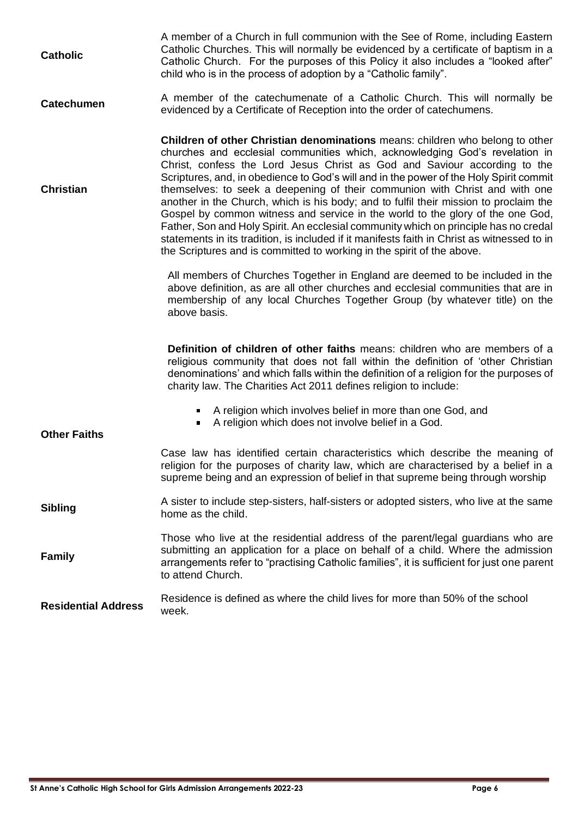| <b>Catholic</b>            | A member of a Church in full communion with the See of Rome, including Eastern<br>Catholic Churches. This will normally be evidenced by a certificate of baptism in a<br>Catholic Church. For the purposes of this Policy it also includes a "looked after"<br>child who is in the process of adoption by a "Catholic family".                                                                                                                                                                                                                                                                                                                                                                                                                                                                                                                                        |
|----------------------------|-----------------------------------------------------------------------------------------------------------------------------------------------------------------------------------------------------------------------------------------------------------------------------------------------------------------------------------------------------------------------------------------------------------------------------------------------------------------------------------------------------------------------------------------------------------------------------------------------------------------------------------------------------------------------------------------------------------------------------------------------------------------------------------------------------------------------------------------------------------------------|
| <b>Catechumen</b>          | A member of the catechumenate of a Catholic Church. This will normally be<br>evidenced by a Certificate of Reception into the order of catechumens.                                                                                                                                                                                                                                                                                                                                                                                                                                                                                                                                                                                                                                                                                                                   |
| <b>Christian</b>           | <b>Children of other Christian denominations</b> means: children who belong to other<br>churches and ecclesial communities which, acknowledging God's revelation in<br>Christ, confess the Lord Jesus Christ as God and Saviour according to the<br>Scriptures, and, in obedience to God's will and in the power of the Holy Spirit commit<br>themselves: to seek a deepening of their communion with Christ and with one<br>another in the Church, which is his body; and to fulfil their mission to proclaim the<br>Gospel by common witness and service in the world to the glory of the one God,<br>Father, Son and Holy Spirit. An ecclesial community which on principle has no credal<br>statements in its tradition, is included if it manifests faith in Christ as witnessed to in<br>the Scriptures and is committed to working in the spirit of the above. |
|                            | All members of Churches Together in England are deemed to be included in the<br>above definition, as are all other churches and ecclesial communities that are in<br>membership of any local Churches Together Group (by whatever title) on the<br>above basis.                                                                                                                                                                                                                                                                                                                                                                                                                                                                                                                                                                                                       |
|                            | <b>Definition of children of other faiths means: children who are members of a</b><br>religious community that does not fall within the definition of 'other Christian<br>denominations' and which falls within the definition of a religion for the purposes of<br>charity law. The Charities Act 2011 defines religion to include:                                                                                                                                                                                                                                                                                                                                                                                                                                                                                                                                  |
| <b>Other Faiths</b>        | A religion which involves belief in more than one God, and<br>A religion which does not involve belief in a God.                                                                                                                                                                                                                                                                                                                                                                                                                                                                                                                                                                                                                                                                                                                                                      |
|                            | Case law has identified certain characteristics which describe the meaning of<br>religion for the purposes of charity law, which are characterised by a belief in a<br>supreme being and an expression of belief in that supreme being through worship                                                                                                                                                                                                                                                                                                                                                                                                                                                                                                                                                                                                                |
| <b>Sibling</b>             | A sister to include step-sisters, half-sisters or adopted sisters, who live at the same<br>home as the child.                                                                                                                                                                                                                                                                                                                                                                                                                                                                                                                                                                                                                                                                                                                                                         |
| <b>Family</b>              | Those who live at the residential address of the parent/legal guardians who are<br>submitting an application for a place on behalf of a child. Where the admission<br>arrangements refer to "practising Catholic families", it is sufficient for just one parent<br>to attend Church.                                                                                                                                                                                                                                                                                                                                                                                                                                                                                                                                                                                 |
| <b>Residential Address</b> | Residence is defined as where the child lives for more than 50% of the school<br>week.                                                                                                                                                                                                                                                                                                                                                                                                                                                                                                                                                                                                                                                                                                                                                                                |